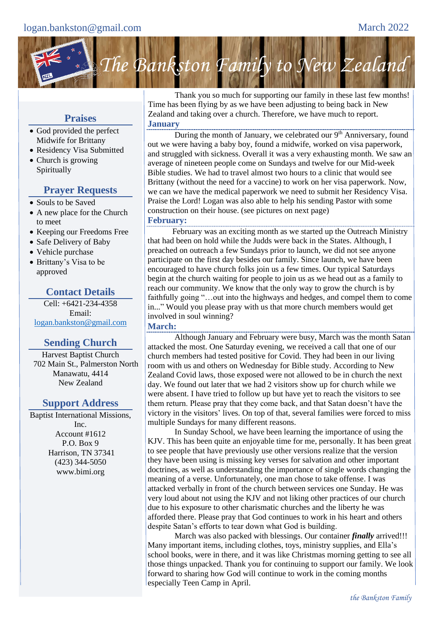

# **Praises**

- God provided the perfect Midwife for Brittany
- Residency Visa Submitted
- Church is growing Spiritually

## **Prayer Requests**

- Souls to be Saved
- A new place for the Church to meet
- Keeping our Freedoms Free
- Safe Delivery of Baby
- Vehicle purchase
- Brittany's Visa to be approved

## **Contact Details**

Cell: +6421-234-4358 Email: [logan.bankston@gmail.com](mailto:logan.bankston@gmail.com)

## **Sending Church**

Harvest Baptist Church 702 Main St., Palmerston North Manawatu, 4414 New Zealand

## **Support Address**

Baptist International Missions, Inc. Account #1612 P.O. Box 9 Harrison, TN 37341 (423) 344-5050 www.bimi.org

Thank you so much for supporting our family in these last few months! Time has been flying by as we have been adjusting to being back in New Zealand and taking over a church. Therefore, we have much to report. **January**

During the month of January, we celebrated our 9<sup>th</sup> Anniversary, found out we were having a baby boy, found a midwife, worked on visa paperwork, and struggled with sickness. Overall it was a very exhausting month. We saw an average of nineteen people come on Sundays and twelve for our Mid-week Bible studies. We had to travel almost two hours to a clinic that would see Brittany (without the need for a vaccine) to work on her visa paperwork. Now, we can we have the medical paperwork we need to submit her Residency Visa. Praise the Lord! Logan was also able to help his sending Pastor with some construction on their house. (see pictures on next page) **February:** 

February was an exciting month as we started up the Outreach Ministry that had been on hold while the Judds were back in the States. Although, I preached on outreach a few Sundays prior to launch, we did not see anyone participate on the first day besides our family. Since launch, we have been encouraged to have church folks join us a few times. Our typical Saturdays begin at the church waiting for people to join us as we head out as a family to reach our community. We know that the only way to grow the church is by faithfully going "…out into the highways and hedges, and compel them to come in..." Would you please pray with us that more church members would get involved in soul winning?

#### **March:**

Although January and February were busy, March was the month Satan attacked the most. One Saturday evening, we received a call that one of our church members had tested positive for Covid. They had been in our living room with us and others on Wednesday for Bible study. According to New Zealand Covid laws, those exposed were not allowed to be in church the next day. We found out later that we had 2 visitors show up for church while we were absent. I have tried to follow up but have yet to reach the visitors to see them return. Please pray that they come back, and that Satan doesn't have the victory in the visitors' lives. On top of that, several families were forced to miss multiple Sundays for many different reasons.

In Sunday School, we have been learning the importance of using the KJV. This has been quite an enjoyable time for me, personally. It has been great to see people that have previously use other versions realize that the version they have been using is missing key verses for salvation and other important doctrines, as well as understanding the importance of single words changing the meaning of a verse. Unfortunately, one man chose to take offense. I was attacked verbally in front of the church between services one Sunday. He was very loud about not using the KJV and not liking other practices of our church due to his exposure to other charismatic churches and the liberty he was afforded there. Please pray that God continues to work in his heart and others despite Satan's efforts to tear down what God is building.

March was also packed with blessings. Our container *finally* arrived!!! Many important items, including clothes, toys, ministry supplies, and Ella's school books, were in there, and it was like Christmas morning getting to see all those things unpacked. Thank you for continuing to support our family. We look forward to sharing how God will continue to work in the coming months especially Teen Camp in April.